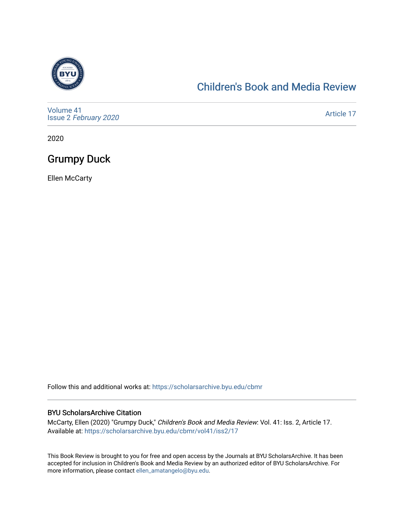

### [Children's Book and Media Review](https://scholarsarchive.byu.edu/cbmr)

[Volume 41](https://scholarsarchive.byu.edu/cbmr/vol41) Issue 2 [February 2020](https://scholarsarchive.byu.edu/cbmr/vol41/iss2)

[Article 17](https://scholarsarchive.byu.edu/cbmr/vol41/iss2/17) 

2020

## Grumpy Duck

Ellen McCarty

Follow this and additional works at: [https://scholarsarchive.byu.edu/cbmr](https://scholarsarchive.byu.edu/cbmr?utm_source=scholarsarchive.byu.edu%2Fcbmr%2Fvol41%2Fiss2%2F17&utm_medium=PDF&utm_campaign=PDFCoverPages) 

#### BYU ScholarsArchive Citation

McCarty, Ellen (2020) "Grumpy Duck," Children's Book and Media Review: Vol. 41: Iss. 2, Article 17. Available at: [https://scholarsarchive.byu.edu/cbmr/vol41/iss2/17](https://scholarsarchive.byu.edu/cbmr/vol41/iss2/17?utm_source=scholarsarchive.byu.edu%2Fcbmr%2Fvol41%2Fiss2%2F17&utm_medium=PDF&utm_campaign=PDFCoverPages)

This Book Review is brought to you for free and open access by the Journals at BYU ScholarsArchive. It has been accepted for inclusion in Children's Book and Media Review by an authorized editor of BYU ScholarsArchive. For more information, please contact [ellen\\_amatangelo@byu.edu.](mailto:ellen_amatangelo@byu.edu)